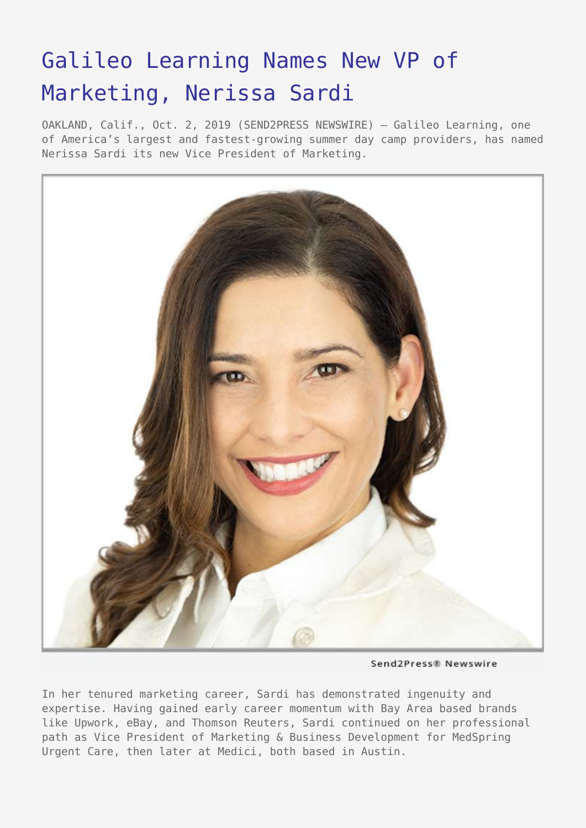## [Galileo Learning Names New VP of](https://www.send2press.com/wire/galileo-learning-names-new-vp-of-marketing-nerissa-sardi/) [Marketing, Nerissa Sardi](https://www.send2press.com/wire/galileo-learning-names-new-vp-of-marketing-nerissa-sardi/)

OAKLAND, Calif., Oct. 2, 2019 (SEND2PRESS NEWSWIRE) — Galileo Learning, one of America's largest and fastest-growing summer day camp providers, has named Nerissa Sardi its new Vice President of Marketing.



Send2Press® Newswire

In her tenured marketing career, Sardi has demonstrated ingenuity and expertise. Having gained early career momentum with Bay Area based brands like Upwork, eBay, and Thomson Reuters, Sardi continued on her professional path as Vice President of Marketing & Business Development for MedSpring Urgent Care, then later at Medici, both based in Austin.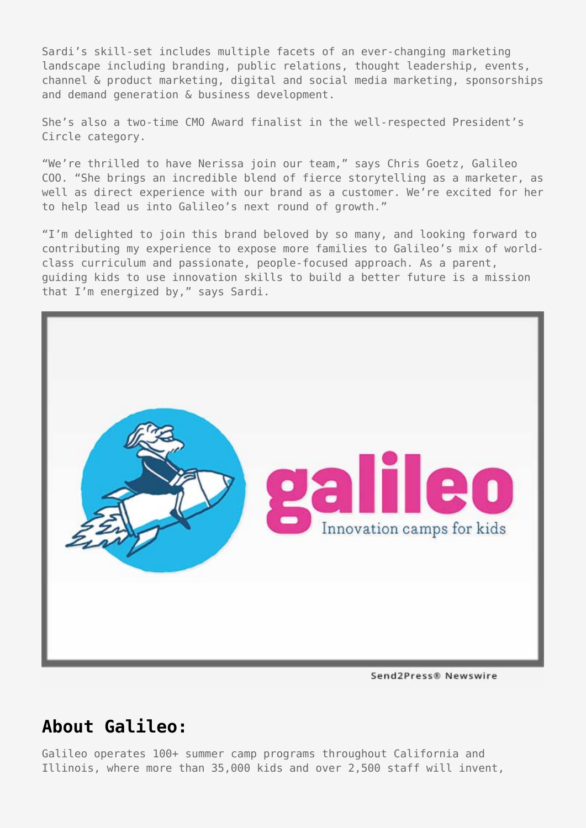Sardi's skill-set includes multiple facets of an ever-changing marketing landscape including branding, public relations, thought leadership, events, channel & product marketing, digital and social media marketing, sponsorships and demand generation & business development.

She's also a two-time CMO Award finalist in the well-respected President's Circle category.

"We're thrilled to have Nerissa join our team," says Chris Goetz, Galileo COO. "She brings an incredible blend of fierce storytelling as a marketer, as well as direct experience with our brand as a customer. We're excited for her to help lead us into Galileo's next round of growth."

"I'm delighted to join this brand beloved by so many, and looking forward to contributing my experience to expose more families to Galileo's mix of worldclass curriculum and passionate, people-focused approach. As a parent, guiding kids to use innovation skills to build a better future is a mission that I'm energized by," says Sardi.



Send2Press® Newswire

## **About Galileo:**

Galileo operates 100+ summer camp programs throughout California and Illinois, where more than 35,000 kids and over 2,500 staff will invent,